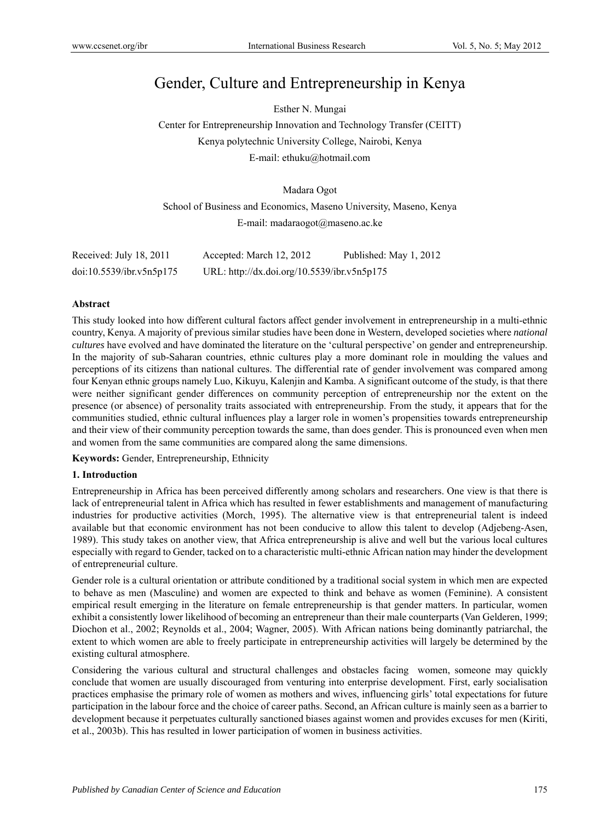# Gender, Culture and Entrepreneurship in Kenya

Esther N. Mungai

Center for Entrepreneurship Innovation and Technology Transfer (CEITT) Kenya polytechnic University College, Nairobi, Kenya E-mail: ethuku@hotmail.com

Madara Ogot

School of Business and Economics, Maseno University, Maseno, Kenya E-mail: madaraogot@maseno.ac.ke

| Received: July 18, 2011  | Accepted: March 12, 2012                    | Published: May 1, 2012 |
|--------------------------|---------------------------------------------|------------------------|
| doi:10.5539/ibr.v5n5p175 | URL: http://dx.doi.org/10.5539/ibr.v5n5p175 |                        |

## **Abstract**

This study looked into how different cultural factors affect gender involvement in entrepreneurship in a multi-ethnic country, Kenya. A majority of previous similar studies have been done in Western, developed societies where *national cultures* have evolved and have dominated the literature on the 'cultural perspective' on gender and entrepreneurship. In the majority of sub-Saharan countries, ethnic cultures play a more dominant role in moulding the values and perceptions of its citizens than national cultures. The differential rate of gender involvement was compared among four Kenyan ethnic groups namely Luo, Kikuyu, Kalenjin and Kamba. A significant outcome of the study, is that there were neither significant gender differences on community perception of entrepreneurship nor the extent on the presence (or absence) of personality traits associated with entrepreneurship. From the study, it appears that for the communities studied, ethnic cultural influences play a larger role in women's propensities towards entrepreneurship and their view of their community perception towards the same, than does gender. This is pronounced even when men and women from the same communities are compared along the same dimensions.

**Keywords:** Gender, Entrepreneurship, Ethnicity

#### **1. Introduction**

Entrepreneurship in Africa has been perceived differently among scholars and researchers. One view is that there is lack of entrepreneurial talent in Africa which has resulted in fewer establishments and management of manufacturing industries for productive activities (Morch, 1995). The alternative view is that entrepreneurial talent is indeed available but that economic environment has not been conducive to allow this talent to develop (Adjebeng-Asen, 1989). This study takes on another view, that Africa entrepreneurship is alive and well but the various local cultures especially with regard to Gender, tacked on to a characteristic multi-ethnic African nation may hinder the development of entrepreneurial culture.

Gender role is a cultural orientation or attribute conditioned by a traditional social system in which men are expected to behave as men (Masculine) and women are expected to think and behave as women (Feminine). A consistent empirical result emerging in the literature on female entrepreneurship is that gender matters. In particular, women exhibit a consistently lower likelihood of becoming an entrepreneur than their male counterparts (Van Gelderen, 1999; Diochon et al., 2002; Reynolds et al., 2004; Wagner, 2005). With African nations being dominantly patriarchal, the extent to which women are able to freely participate in entrepreneurship activities will largely be determined by the existing cultural atmosphere.

Considering the various cultural and structural challenges and obstacles facing women, someone may quickly conclude that women are usually discouraged from venturing into enterprise development. First, early socialisation practices emphasise the primary role of women as mothers and wives, influencing girls' total expectations for future participation in the labour force and the choice of career paths. Second, an African culture is mainly seen as a barrier to development because it perpetuates culturally sanctioned biases against women and provides excuses for men (Kiriti, et al., 2003b). This has resulted in lower participation of women in business activities.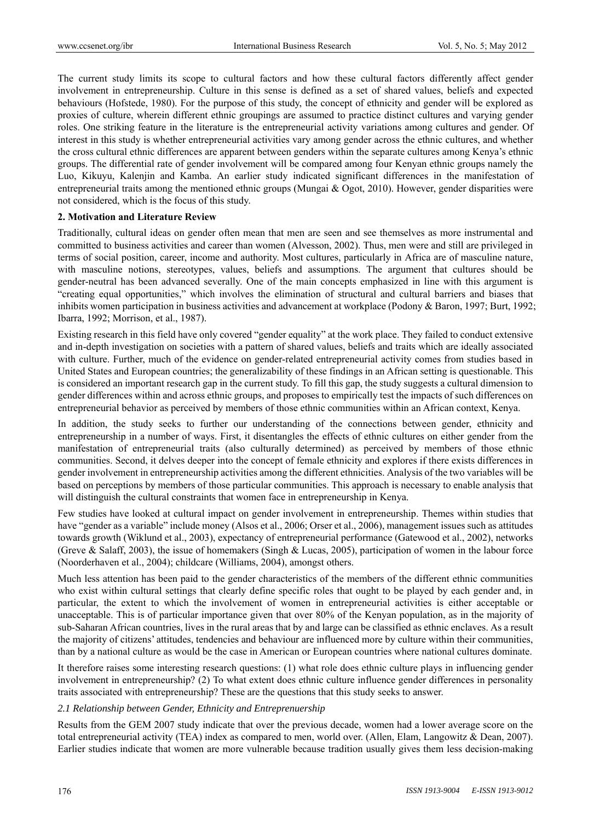The current study limits its scope to cultural factors and how these cultural factors differently affect gender involvement in entrepreneurship. Culture in this sense is defined as a set of shared values, beliefs and expected behaviours (Hofstede, 1980). For the purpose of this study, the concept of ethnicity and gender will be explored as proxies of culture, wherein different ethnic groupings are assumed to practice distinct cultures and varying gender roles. One striking feature in the literature is the entrepreneurial activity variations among cultures and gender. Of interest in this study is whether entrepreneurial activities vary among gender across the ethnic cultures, and whether the cross cultural ethnic differences are apparent between genders within the separate cultures among Kenya's ethnic groups. The differential rate of gender involvement will be compared among four Kenyan ethnic groups namely the Luo, Kikuyu, Kalenjin and Kamba. An earlier study indicated significant differences in the manifestation of entrepreneurial traits among the mentioned ethnic groups (Mungai & Ogot, 2010). However, gender disparities were not considered, which is the focus of this study.

#### **2. Motivation and Literature Review**

Traditionally, cultural ideas on gender often mean that men are seen and see themselves as more instrumental and committed to business activities and career than women (Alvesson, 2002). Thus, men were and still are privileged in terms of social position, career, income and authority. Most cultures, particularly in Africa are of masculine nature, with masculine notions, stereotypes, values, beliefs and assumptions. The argument that cultures should be gender-neutral has been advanced severally. One of the main concepts emphasized in line with this argument is "creating equal opportunities," which involves the elimination of structural and cultural barriers and biases that inhibits women participation in business activities and advancement at workplace (Podony & Baron, 1997; Burt, 1992; Ibarra, 1992; Morrison, et al., 1987).

Existing research in this field have only covered "gender equality" at the work place. They failed to conduct extensive and in-depth investigation on societies with a pattern of shared values, beliefs and traits which are ideally associated with culture. Further, much of the evidence on gender-related entrepreneurial activity comes from studies based in United States and European countries; the generalizability of these findings in an African setting is questionable. This is considered an important research gap in the current study. To fill this gap, the study suggests a cultural dimension to gender differences within and across ethnic groups, and proposes to empirically test the impacts of such differences on entrepreneurial behavior as perceived by members of those ethnic communities within an African context, Kenya.

In addition, the study seeks to further our understanding of the connections between gender, ethnicity and entrepreneurship in a number of ways. First, it disentangles the effects of ethnic cultures on either gender from the manifestation of entrepreneurial traits (also culturally determined) as perceived by members of those ethnic communities. Second, it delves deeper into the concept of female ethnicity and explores if there exists differences in gender involvement in entrepreneurship activities among the different ethnicities. Analysis of the two variables will be based on perceptions by members of those particular communities. This approach is necessary to enable analysis that will distinguish the cultural constraints that women face in entrepreneurship in Kenya.

Few studies have looked at cultural impact on gender involvement in entrepreneurship. Themes within studies that have "gender as a variable" include money (Alsos et al., 2006; Orser et al., 2006), management issues such as attitudes towards growth (Wiklund et al., 2003), expectancy of entrepreneurial performance (Gatewood et al., 2002), networks (Greve & Salaff, 2003), the issue of homemakers (Singh & Lucas, 2005), participation of women in the labour force (Noorderhaven et al., 2004); childcare (Williams, 2004), amongst others.

Much less attention has been paid to the gender characteristics of the members of the different ethnic communities who exist within cultural settings that clearly define specific roles that ought to be played by each gender and, in particular, the extent to which the involvement of women in entrepreneurial activities is either acceptable or unacceptable. This is of particular importance given that over 80% of the Kenyan population, as in the majority of sub-Saharan African countries, lives in the rural areas that by and large can be classified as ethnic enclaves. As a result the majority of citizens' attitudes, tendencies and behaviour are influenced more by culture within their communities, than by a national culture as would be the case in American or European countries where national cultures dominate.

It therefore raises some interesting research questions: (1) what role does ethnic culture plays in influencing gender involvement in entrepreneurship? (2) To what extent does ethnic culture influence gender differences in personality traits associated with entrepreneurship? These are the questions that this study seeks to answer.

#### *2.1 Relationship between Gender, Ethnicity and Entreprenuership*

Results from the GEM 2007 study indicate that over the previous decade, women had a lower average score on the total entrepreneurial activity (TEA) index as compared to men, world over. (Allen, Elam, Langowitz & Dean, 2007). Earlier studies indicate that women are more vulnerable because tradition usually gives them less decision-making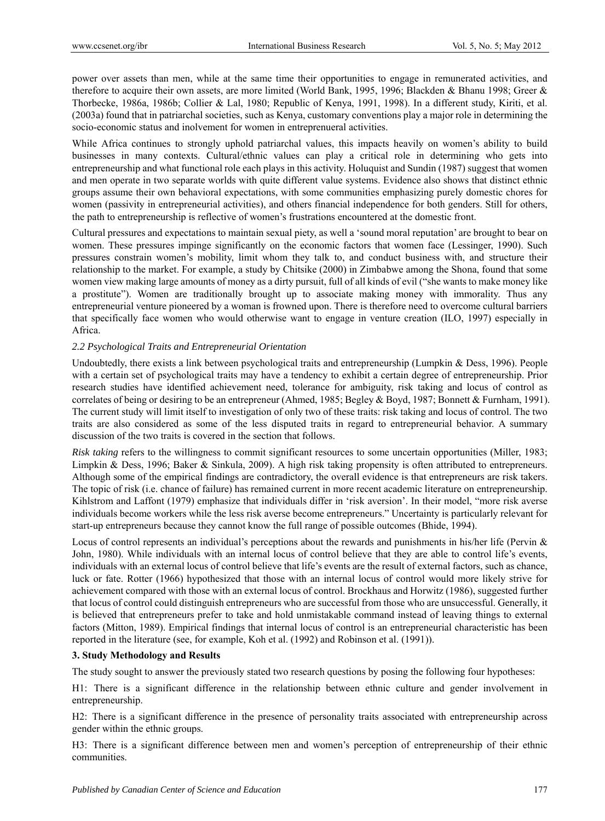power over assets than men, while at the same time their opportunities to engage in remunerated activities, and therefore to acquire their own assets, are more limited (World Bank, 1995, 1996; Blackden & Bhanu 1998; Greer & Thorbecke, 1986a, 1986b; Collier & Lal, 1980; Republic of Kenya, 1991, 1998). In a different study, Kiriti, et al. (2003a) found that in patriarchal societies, such as Kenya, customary conventions play a major role in determining the socio-economic status and inolvement for women in entreprenueral activities.

While Africa continues to strongly uphold patriarchal values, this impacts heavily on women's ability to build businesses in many contexts. Cultural/ethnic values can play a critical role in determining who gets into entrepreneurship and what functional role each plays in this activity. Holuquist and Sundin (1987) suggest that women and men operate in two separate worlds with quite different value systems. Evidence also shows that distinct ethnic groups assume their own behavioral expectations, with some communities emphasizing purely domestic chores for women (passivity in entrepreneurial activities), and others financial independence for both genders. Still for others, the path to entrepreneurship is reflective of women's frustrations encountered at the domestic front.

Cultural pressures and expectations to maintain sexual piety, as well a 'sound moral reputation' are brought to bear on women. These pressures impinge significantly on the economic factors that women face (Lessinger, 1990). Such pressures constrain women's mobility, limit whom they talk to, and conduct business with, and structure their relationship to the market. For example, a study by Chitsike (2000) in Zimbabwe among the Shona, found that some women view making large amounts of money as a dirty pursuit, full of all kinds of evil ("she wants to make money like a prostitute"). Women are traditionally brought up to associate making money with immorality. Thus any entrepreneurial venture pioneered by a woman is frowned upon. There is therefore need to overcome cultural barriers that specifically face women who would otherwise want to engage in venture creation (ILO, 1997) especially in Africa.

# *2.2 Psychological Traits and Entrepreneurial Orientation*

Undoubtedly, there exists a link between psychological traits and entrepreneurship (Lumpkin & Dess, 1996). People with a certain set of psychological traits may have a tendency to exhibit a certain degree of entrepreneurship. Prior research studies have identified achievement need, tolerance for ambiguity, risk taking and locus of control as correlates of being or desiring to be an entrepreneur (Ahmed, 1985; Begley & Boyd, 1987; Bonnett & Furnham, 1991). The current study will limit itself to investigation of only two of these traits: risk taking and locus of control. The two traits are also considered as some of the less disputed traits in regard to entrepreneurial behavior. A summary discussion of the two traits is covered in the section that follows.

*Risk taking* refers to the willingness to commit significant resources to some uncertain opportunities (Miller, 1983; Limpkin & Dess, 1996; Baker & Sinkula, 2009). A high risk taking propensity is often attributed to entrepreneurs. Although some of the empirical findings are contradictory, the overall evidence is that entrepreneurs are risk takers. The topic of risk (i.e. chance of failure) has remained current in more recent academic literature on entrepreneurship. Kihlstrom and Laffont (1979) emphasize that individuals differ in 'risk aversion'. In their model, "more risk averse individuals become workers while the less risk averse become entrepreneurs." Uncertainty is particularly relevant for start-up entrepreneurs because they cannot know the full range of possible outcomes (Bhide, 1994).

Locus of control represents an individual's perceptions about the rewards and punishments in his/her life (Pervin & John, 1980). While individuals with an internal locus of control believe that they are able to control life's events, individuals with an external locus of control believe that life's events are the result of external factors, such as chance, luck or fate. Rotter (1966) hypothesized that those with an internal locus of control would more likely strive for achievement compared with those with an external locus of control. Brockhaus and Horwitz (1986), suggested further that locus of control could distinguish entrepreneurs who are successful from those who are unsuccessful. Generally, it is believed that entrepreneurs prefer to take and hold unmistakable command instead of leaving things to external factors (Mitton, 1989). Empirical findings that internal locus of control is an entrepreneurial characteristic has been reported in the literature (see, for example, Koh et al. (1992) and Robinson et al. (1991)).

## **3. Study Methodology and Results**

The study sought to answer the previously stated two research questions by posing the following four hypotheses:

H1: There is a significant difference in the relationship between ethnic culture and gender involvement in entrepreneurship.

H2: There is a significant difference in the presence of personality traits associated with entrepreneurship across gender within the ethnic groups.

H3: There is a significant difference between men and women's perception of entrepreneurship of their ethnic communities.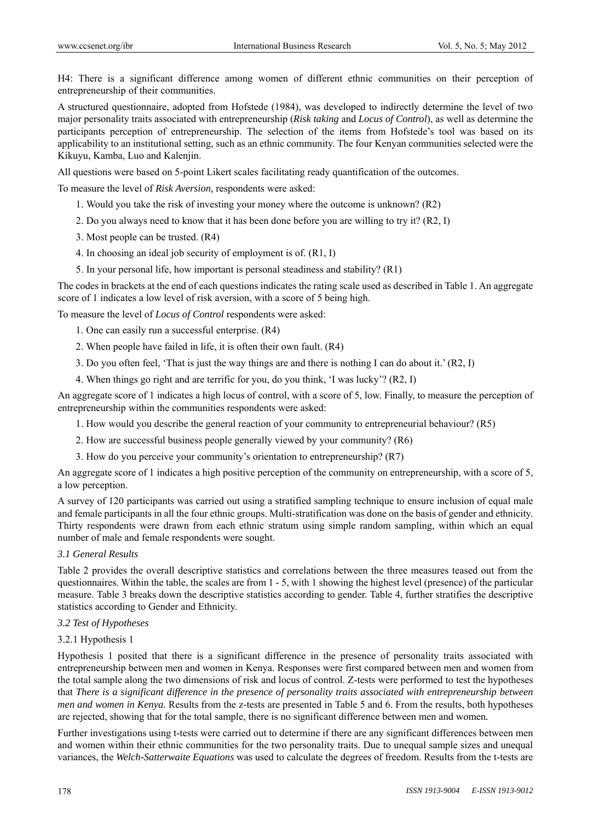H4: There is a significant difference among women of different ethnic communities on their perception of entrepreneurship of their communities.

A structured questionnaire, adopted from Hofstede (1984), was developed to indirectly determine the level of two major personality traits associated with entrepreneurship (*Risk taking* and *Locus of Control*), as well as determine the participants perception of entrepreneurship. The selection of the items from Hofstede's tool was based on its applicability to an institutional setting, such as an ethnic community. The four Kenyan communities selected were the Kikuyu, Kamba, Luo and Kalenjin.

All questions were based on 5-point Likert scales facilitating ready quantification of the outcomes.

To measure the level of *Risk Aversion,* respondents were asked:

- 1. Would you take the risk of investing your money where the outcome is unknown? (R2)
- 2. Do you always need to know that it has been done before you are willing to try it? (R2, I)
- 3. Most people can be trusted. (R4)
- 4. In choosing an ideal job security of employment is of. (R1, I)
- 5. In your personal life, how important is personal steadiness and stability? (R1)

The codes in brackets at the end of each questions indicates the rating scale used as described in Table 1. An aggregate score of 1 indicates a low level of risk aversion, with a score of 5 being high.

To measure the level of *Locus of Control* respondents were asked:

- 1. One can easily run a successful enterprise. (R4)
- 2. When people have failed in life, it is often their own fault. (R4)
- 3. Do you often feel, 'That is just the way things are and there is nothing I can do about it.' (R2, I)
- 4. When things go right and are terrific for you, do you think, 'I was lucky'? (R2, I)

An aggregate score of 1 indicates a high locus of control, with a score of 5, low. Finally, to measure the perception of entrepreneurship within the communities respondents were asked:

- 1. How would you describe the general reaction of your community to entrepreneurial behaviour? (R5)
- 2. How are successful business people generally viewed by your community? (R6)
- 3. How do you perceive your community's orientation to entrepreneurship? (R7)

An aggregate score of 1 indicates a high positive perception of the community on entrepreneurship, with a score of 5, a low perception.

A survey of 120 participants was carried out using a stratified sampling technique to ensure inclusion of equal male and female participants in all the four ethnic groups. Multi-stratification was done on the basis of gender and ethnicity. Thirty respondents were drawn from each ethnic stratum using simple random sampling, within which an equal number of male and female respondents were sought.

# *3.1 General Results*

Table 2 provides the overall descriptive statistics and correlations between the three measures teased out from the questionnaires. Within the table, the scales are from 1 - 5, with 1 showing the highest level (presence) of the particular measure. Table 3 breaks down the descriptive statistics according to gender. Table 4, further stratifies the descriptive statistics according to Gender and Ethnicity.

## *3.2 Test of Hypotheses*

## 3.2.1 Hypothesis 1

Hypothesis 1 posited that there is a significant difference in the presence of personality traits associated with entrepreneurship between men and women in Kenya. Responses were first compared between men and women from the total sample along the two dimensions of risk and locus of control. Z-tests were performed to test the hypotheses that *There is a significant difference in the presence of personality traits associated with entrepreneurship between men and women in Kenya.* Results from the z-tests are presented in Table 5 and 6. From the results, both hypotheses are rejected, showing that for the total sample, there is no significant difference between men and women*.* 

Further investigations using t-tests were carried out to determine if there are any significant differences between men and women within their ethnic communities for the two personality traits. Due to unequal sample sizes and unequal variances, the *Welch-Satterwaite Equations* was used to calculate the degrees of freedom. Results from the t-tests are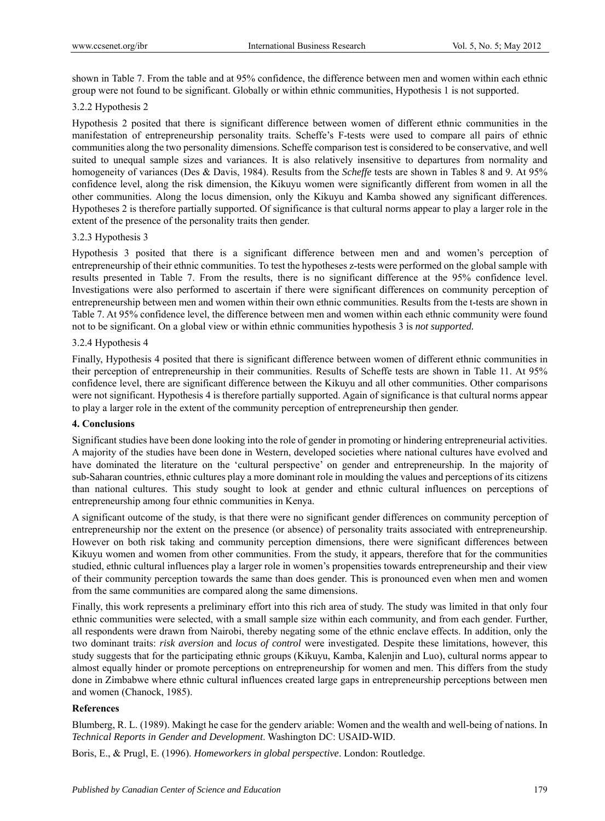shown in Table 7. From the table and at 95% confidence, the difference between men and women within each ethnic group were not found to be significant. Globally or within ethnic communities, Hypothesis 1 is not supported.

# 3.2.2 Hypothesis 2

Hypothesis 2 posited that there is significant difference between women of different ethnic communities in the manifestation of entrepreneurship personality traits. Scheffe's F-tests were used to compare all pairs of ethnic communities along the two personality dimensions. Scheffe comparison test is considered to be conservative, and well suited to unequal sample sizes and variances. It is also relatively insensitive to departures from normality and homogeneity of variances (Des & Davis, 1984). Results from the *Scheffe* tests are shown in Tables 8 and 9. At 95% confidence level, along the risk dimension, the Kikuyu women were significantly different from women in all the other communities. Along the locus dimension, only the Kikuyu and Kamba showed any significant differences. Hypotheses 2 is therefore partially supported. Of significance is that cultural norms appear to play a larger role in the extent of the presence of the personality traits then gender.

## 3.2.3 Hypothesis 3

Hypothesis 3 posited that there is a significant difference between men and and women's perception of entrepreneurship of their ethnic communities. To test the hypotheses z-tests were performed on the global sample with results presented in Table 7. From the results, there is no significant difference at the 95% confidence level. Investigations were also performed to ascertain if there were significant differences on community perception of entrepreneurship between men and women within their own ethnic communities. Results from the t-tests are shown in Table 7. At 95% confidence level, the difference between men and women within each ethnic community were found not to be significant. On a global view or within ethnic communities hypothesis 3 is *not supported.* 

# 3.2.4 Hypothesis 4

Finally, Hypothesis 4 posited that there is significant difference between women of different ethnic communities in their perception of entrepreneurship in their communities. Results of Scheffe tests are shown in Table 11. At 95% confidence level, there are significant difference between the Kikuyu and all other communities. Other comparisons were not significant. Hypothesis 4 is therefore partially supported. Again of significance is that cultural norms appear to play a larger role in the extent of the community perception of entrepreneurship then gender.

## **4. Conclusions**

Significant studies have been done looking into the role of gender in promoting or hindering entrepreneurial activities. A majority of the studies have been done in Western, developed societies where national cultures have evolved and have dominated the literature on the 'cultural perspective' on gender and entrepreneurship. In the majority of sub-Saharan countries, ethnic cultures play a more dominant role in moulding the values and perceptions of its citizens than national cultures. This study sought to look at gender and ethnic cultural influences on perceptions of entrepreneurship among four ethnic communities in Kenya.

A significant outcome of the study, is that there were no significant gender differences on community perception of entrepreneurship nor the extent on the presence (or absence) of personality traits associated with entrepreneurship. However on both risk taking and community perception dimensions, there were significant differences between Kikuyu women and women from other communities. From the study, it appears, therefore that for the communities studied, ethnic cultural influences play a larger role in women's propensities towards entrepreneurship and their view of their community perception towards the same than does gender. This is pronounced even when men and women from the same communities are compared along the same dimensions.

Finally, this work represents a preliminary effort into this rich area of study. The study was limited in that only four ethnic communities were selected, with a small sample size within each community, and from each gender. Further, all respondents were drawn from Nairobi, thereby negating some of the ethnic enclave effects. In addition, only the two dominant traits: *risk aversion* and *locus of control* were investigated. Despite these limitations, however, this study suggests that for the participating ethnic groups (Kikuyu, Kamba, Kalenjin and Luo), cultural norms appear to almost equally hinder or promote perceptions on entrepreneurship for women and men. This differs from the study done in Zimbabwe where ethnic cultural influences created large gaps in entrepreneurship perceptions between men and women (Chanock, 1985).

# **References**

Blumberg, R. L. (1989). Makingt he case for the genderv ariable: Women and the wealth and well-being of nations. In *Technical Reports in Gender and Development*. Washington DC: USAID-WID.

Boris, E., & Prugl, E. (1996). *Homeworkers in global perspective*. London: Routledge.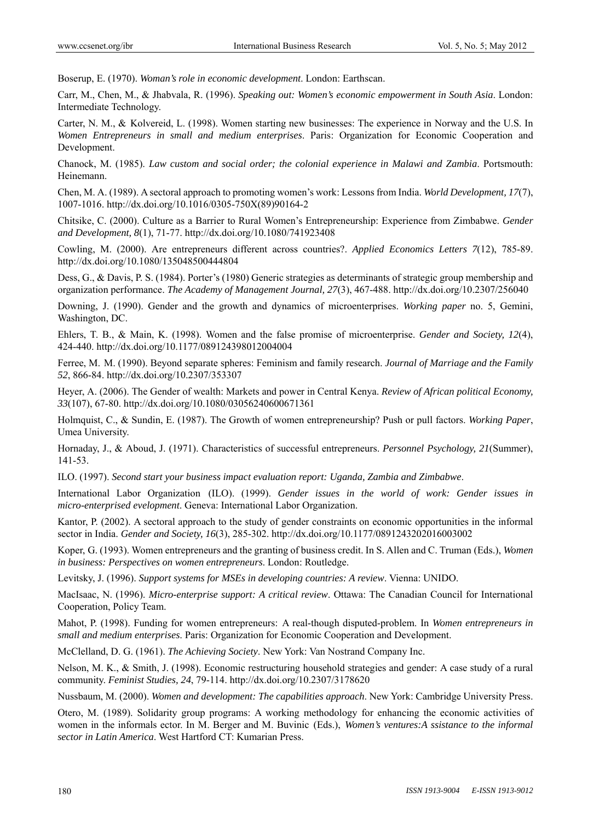Boserup, E. (1970). *Woman's role in economic development*. London: Earthscan.

Carr, M., Chen, M., & Jhabvala, R. (1996). *Speaking out: Women's economic empowerment in South Asia*. London: Intermediate Technology.

Carter, N. M., & Kolvereid, L. (1998). Women starting new businesses: The experience in Norway and the U.S. In *Women Entrepreneurs in small and medium enterprises*. Paris: Organization for Economic Cooperation and Development.

Chanock, M. (1985). *Law custom and social order; the colonial experience in Malawi and Zambia*. Portsmouth: Heinemann.

Chen, M. A. (1989). A sectoral approach to promoting women's work: Lessons from India. *World Development, 17*(7), 1007-1016. http://dx.doi.org/10.1016/0305-750X(89)90164-2

Chitsike, C. (2000). Culture as a Barrier to Rural Women's Entrepreneurship: Experience from Zimbabwe. *Gender and Development, 8*(1), 71-77. http://dx.doi.org/10.1080/741923408

Cowling, M. (2000). Are entrepreneurs different across countries?. *Applied Economics Letters 7*(12), 785-89. http://dx.doi.org/10.1080/135048500444804

Dess, G., & Davis, P. S. (1984). Porter's (1980) Generic strategies as determinants of strategic group membership and organization performance. *The Academy of Management Journal, 27*(3), 467-488. http://dx.doi.org/10.2307/256040

Downing, J. (1990). Gender and the growth and dynamics of microenterprises. *Working paper* no. 5, Gemini, Washington, DC.

Ehlers, T. B., & Main, K. (1998). Women and the false promise of microenterprise. *Gender and Society, 12*(4), 424-440. http://dx.doi.org/10.1177/089124398012004004

Ferree, M. M. (1990). Beyond separate spheres: Feminism and family research. *Journal of Marriage and the Family 52*, 866-84. http://dx.doi.org/10.2307/353307

Heyer, A. (2006). The Gender of wealth: Markets and power in Central Kenya. *Review of African political Economy, 33*(107), 67-80. http://dx.doi.org/10.1080/03056240600671361

Holmquist, C., & Sundin, E. (1987). The Growth of women entrepreneurship? Push or pull factors. *Working Paper*, Umea University.

Hornaday, J., & Aboud, J. (1971). Characteristics of successful entrepreneurs. *Personnel Psychology, 21*(Summer), 141-53.

ILO. (1997). *Second start your business impact evaluation report: Uganda, Zambia and Zimbabwe*.

International Labor Organization (ILO). (1999). *Gender issues in the world of work: Gender issues in micro-enterprised evelopment*. Geneva: International Labor Organization.

Kantor, P. (2002). A sectoral approach to the study of gender constraints on economic opportunities in the informal sector in India. *Gender and Society, 16*(3), 285-302. http://dx.doi.org/10.1177/0891243202016003002

Koper, G. (1993). Women entrepreneurs and the granting of business credit. In S. Allen and C. Truman (Eds.), *Women in business: Perspectives on women entrepreneurs*. London: Routledge.

Levitsky, J. (1996). *Support systems for MSEs in developing countries: A review*. Vienna: UNIDO.

MacIsaac, N. (1996). *Micro-enterprise support: A critical review*. Ottawa: The Canadian Council for International Cooperation, Policy Team.

Mahot, P. (1998). Funding for women entrepreneurs: A real-though disputed-problem. In *Women entrepreneurs in small and medium enterprises*. Paris: Organization for Economic Cooperation and Development.

McClelland, D. G. (1961). *The Achieving Society*. New York: Van Nostrand Company Inc.

Nelson, M. K., & Smith, J. (1998). Economic restructuring household strategies and gender: A case study of a rural community. *Feminist Studies, 24*, 79-114. http://dx.doi.org/10.2307/3178620

Nussbaum, M. (2000). *Women and development: The capabilities approach*. New York: Cambridge University Press.

Otero, M. (1989). Solidarity group programs: A working methodology for enhancing the economic activities of women in the informals ector. In M. Berger and M. Buvinic (Eds.), *Women's ventures:A ssistance to the informal sector in Latin America*. West Hartford CT: Kumarian Press.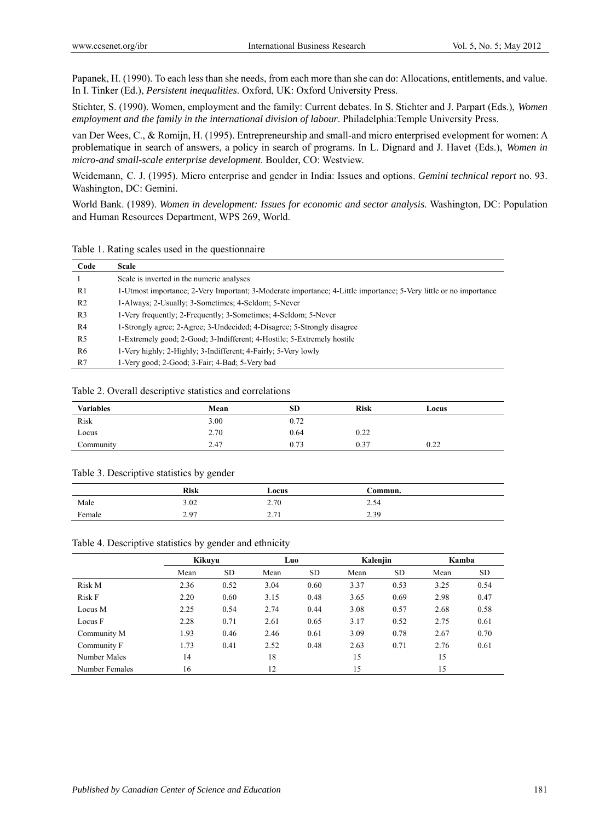Papanek, H. (1990). To each less than she needs, from each more than she can do: Allocations, entitlements, and value. In I. Tinker (Ed.), *Persistent inequalities*. Oxford, UK: Oxford University Press.

Stichter, S. (1990). Women, employment and the family: Current debates. In S. Stichter and J. Parpart (Eds.), *Women employment and the family in the international division of labour*. Philadelphia:Temple University Press.

van Der Wees, C., & Romijn, H. (1995). Entrepreneurship and small-and micro enterprised evelopment for women: A problematique in search of answers, a policy in search of programs. In L. Dignard and J. Havet (Eds.), *Women in micro-and small-scale enterprise development*. Boulder, CO: Westview.

Weidemann, C. J. (1995). Micro enterprise and gender in India: Issues and options. *Gemini technical report* no. 93. Washington, DC: Gemini.

World Bank. (1989). *Women in development: Issues for economic and sector analysis*. Washington, DC: Population and Human Resources Department, WPS 269, World.

|  |  |  |  |  |  | Table 1. Rating scales used in the questionnaire |
|--|--|--|--|--|--|--------------------------------------------------|
|--|--|--|--|--|--|--------------------------------------------------|

| Code           | Scale                                                                                                             |
|----------------|-------------------------------------------------------------------------------------------------------------------|
|                | Scale is inverted in the numeric analyses                                                                         |
| R <sub>1</sub> | 1-Utmost importance; 2-Very Important; 3-Moderate importance; 4-Little importance; 5-Very little or no importance |
| R <sub>2</sub> | 1-Always: 2-Usually: 3-Sometimes: 4-Seldom: 5-Never                                                               |
| R <sub>3</sub> | 1-Very frequently; 2-Frequently; 3-Sometimes; 4-Seldom; 5-Never                                                   |
| R4             | 1-Strongly agree; 2-Agree; 3-Undecided; 4-Disagree; 5-Strongly disagree                                           |
| R <sub>5</sub> | 1-Extremely good; 2-Good; 3-Indifferent; 4-Hostile; 5-Extremely hostile                                           |
| R <sub>6</sub> | 1-Very highly; 2-Highly; 3-Indifferent; 4-Fairly; 5-Very lowly                                                    |
| R7             | 1-Very good; 2-Good; 3-Fair; 4-Bad; 5-Very bad                                                                    |

Table 2. Overall descriptive statistics and correlations

| <b>Variables</b> | Mean | SD   | <b>Risk</b> | Locus |  |
|------------------|------|------|-------------|-------|--|
| Risk             | 3.00 | 0.72 |             |       |  |
| Locus            | 2.70 | 0.64 | 0.22        |       |  |
| Community        | 2.47 | 0.73 | 0.37        | 0.22  |  |

#### Table 3. Descriptive statistics by gender

|        | <b>Risk</b> | Locus                      | Commun. |  |
|--------|-------------|----------------------------|---------|--|
| Male   | 3.02        | 2.70                       | 2.54    |  |
| Female | 2.97        | 271<br>$\sim$ . $\prime$ 1 | 2.39    |  |

| Table 4. Descriptive statistics by gender and ethnicity |  |  |  |
|---------------------------------------------------------|--|--|--|
|                                                         |  |  |  |

|                | Kikuvu |           | Luo  |      | Kalenjin |      | Kamba |      |
|----------------|--------|-----------|------|------|----------|------|-------|------|
|                | Mean   | <b>SD</b> | Mean | SD   | Mean     | SD.  | Mean  | SD.  |
| Risk M         | 2.36   | 0.52      | 3.04 | 0.60 | 3.37     | 0.53 | 3.25  | 0.54 |
| Risk F         | 2.20   | 0.60      | 3.15 | 0.48 | 3.65     | 0.69 | 2.98  | 0.47 |
| Locus M        | 2.25   | 0.54      | 2.74 | 0.44 | 3.08     | 0.57 | 2.68  | 0.58 |
| Locus F        | 2.28   | 0.71      | 2.61 | 0.65 | 3.17     | 0.52 | 2.75  | 0.61 |
| Community M    | 1.93   | 0.46      | 2.46 | 0.61 | 3.09     | 0.78 | 2.67  | 0.70 |
| Community F    | 1.73   | 0.41      | 2.52 | 0.48 | 2.63     | 0.71 | 2.76  | 0.61 |
| Number Males   | 14     |           | 18   |      | 15       |      | 15    |      |
| Number Females | 16     |           | 12   |      | 15       |      | 15    |      |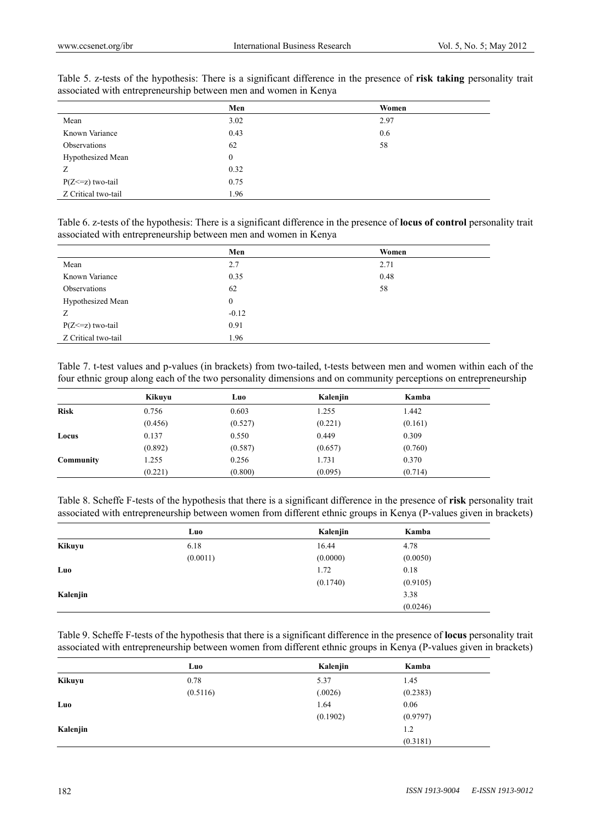|                       | Men              | Women |  |
|-----------------------|------------------|-------|--|
| Mean                  | 3.02             | 2.97  |  |
| Known Variance        | 0.43             | 0.6   |  |
| Observations          | 62               | 58    |  |
| Hypothesized Mean     | $\boldsymbol{0}$ |       |  |
| Ζ                     | 0.32             |       |  |
| $P(Z \le z)$ two-tail | 0.75             |       |  |
| Z Critical two-tail   | 1.96             |       |  |

Table 5. z-tests of the hypothesis: There is a significant difference in the presence of **risk taking** personality trait associated with entrepreneurship between men and women in Kenya

Table 6. z-tests of the hypothesis: There is a significant difference in the presence of **locus of control** personality trait associated with entrepreneurship between men and women in Kenya

|                       | Men            | Women |
|-----------------------|----------------|-------|
| Mean                  | 2.7            | 2.71  |
| Known Variance        | 0.35           | 0.48  |
| Observations          | 62             | 58    |
| Hypothesized Mean     | $\overline{0}$ |       |
| Ζ                     | $-0.12$        |       |
| $P(Z \le z)$ two-tail | 0.91           |       |
| Z Critical two-tail   | 1.96           |       |

Table 7. t-test values and p-values (in brackets) from two-tailed, t-tests between men and women within each of the four ethnic group along each of the two personality dimensions and on community perceptions on entrepreneurship

|             | Kikuvu  | Luo     | Kalenjin | Kamba   |  |
|-------------|---------|---------|----------|---------|--|
| <b>Risk</b> | 0.756   | 0.603   | 1.255    | 1.442   |  |
|             | (0.456) | (0.527) | (0.221)  | (0.161) |  |
| Locus       | 0.137   | 0.550   | 0.449    | 0.309   |  |
|             | (0.892) | (0.587) | (0.657)  | (0.760) |  |
| Community   | 1.255   | 0.256   | 1.731    | 0.370   |  |
|             | (0.221) | (0.800) | (0.095)  | (0.714) |  |

Table 8. Scheffe F-tests of the hypothesis that there is a significant difference in the presence of **risk** personality trait associated with entrepreneurship between women from different ethnic groups in Kenya (P-values given in brackets)

|          | Luo      | Kalenjin | Kamba    |  |
|----------|----------|----------|----------|--|
| Kikuyu   | 6.18     | 16.44    | 4.78     |  |
|          | (0.0011) | (0.0000) | (0.0050) |  |
| Luo      |          | 1.72     | 0.18     |  |
|          |          | (0.1740) | (0.9105) |  |
| Kalenjin |          |          | 3.38     |  |
|          |          |          | (0.0246) |  |

Table 9. Scheffe F-tests of the hypothesis that there is a significant difference in the presence of **locus** personality trait associated with entrepreneurship between women from different ethnic groups in Kenya (P-values given in brackets)

|          | Luo      | Kalenjin | Kamba    |  |
|----------|----------|----------|----------|--|
| Kikuyu   | 0.78     | 5.37     | 1.45     |  |
|          | (0.5116) | (.0026)  | (0.2383) |  |
| Luo      |          | 1.64     | 0.06     |  |
|          |          | (0.1902) | (0.9797) |  |
| Kalenjin |          |          | 1.2      |  |
|          |          |          | (0.3181) |  |